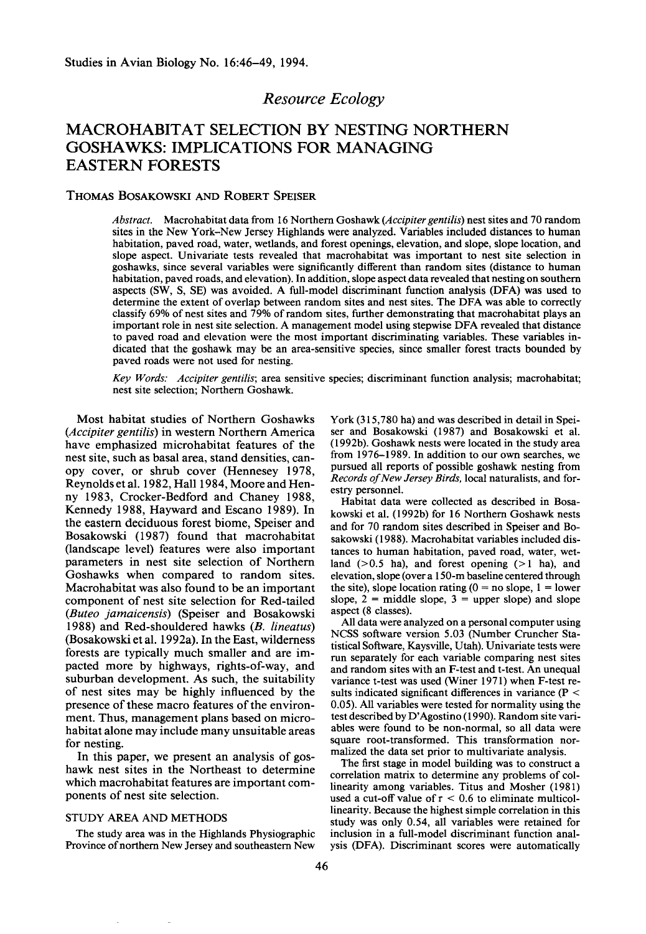## **Resource Ecology**

# **MACROHABITAT SELECTION BY NESTING NORTHERN GOSHAWKS: IMPLICATIONS FOR MANAGING EASTERN FORESTS**

## **THOMAS BOSAKOWSKI AND ROBERT SPEISER**

**Abstract. Macrohabitat data from 16 Northern Goshawk (Accipiter gentilis) nest sites and 70 random sites in the New York-New Jersey Highlands were analyzed. Variables included distances to human habitation, paved road, water, wetlands, and forest openings, elevation, and slope, slope location, and slope aspect. Univariate tests revealed that macrohabitat was important to nest site selection in goshawks, since several variables were significantly different than random sites (distance to human habitation, paved roads, and elevation). In addition, slope aspect data revealed that nesting on southern aspects (SW, S, SE) was avoided. A full-model discriminant function analysis (DFA) was used to determine the extent of overlap between random sites and nest sites. The DFA was able to correctly classify 69% of nest sites and 79% of random sites, further demonstrating that macrohabitat plays an important role in nest site selection. A management model using stepwise DFA revealed that distance to paved road and elevation were the most important discriminating variables. These variables indicated that the goshawk may be an area-sensitive species, since smaller forest tracts bounded by paved roads were not used for nesting.** 

**Key Words: Accipiter gentilis; area sensitive species; discriminant function analysis; macrohabitat; nest site selection; Northern Goshawk.** 

**Most habitat studies of Northern Goshawks (Accipiter gentilis) in western Northern America have emphasized microhabitat features of the nest site, such as basal area, stand densities, canopy cover, or shrub cover (Hennesey 1978, Reynolds et al. 1982, Hall 1984, Moore and Henny 1983, Cracker-Bedford and Chaney 1988, Kennedy 1988, Hayward and Escano 1989). In the eastern deciduous forest biome, Speiser and Bosakowski (1987) found that macrohabitat (landscape level) features were also important parameters in nest site selection of Northern Goshawks when compared to random sites. Macrohabitat was also found to be an important component of nest site selection for Red-tailed (Buteo jamaicensis) (Speiser and Bosakowski 1988) and Red-shouldered hawks (B. lineatus) (Bosakowski et al. 1992a). In the East, wilderness forests are typically much smaller and are impacted more by highways, rights-of-way, and suburban development. As such, the suitability**  of nest sites may be highly influenced by the **presence of these macro features of the environment. Thus, management plans based on microhabitat alone may include many unsuitable areas for nesting.** 

**In this paper, we present an analysis of goshawk nest sites in the Northeast to determine which macrohabitat features are important components of nest site selection.** 

#### **STUDY AREA AND METHODS**

**The study area was in the Highlands Physiographic Province of northern New Jersey and southeastern New**  York (315,780 ha) and was described in detail in Spei**ser and Bosakowski (1987) and Bosakowski et al. (1992b). Goshawk nests were located in the study area from 1976-1989. In addition to our own searches. we pursued all reports of possible goshawk nesting from Records of New Jersey Birds, local naturalists, and forestry personnel.** 

**Habitat data were collected as described in Bosakowski et al. (1992b) for 16 Northern Goshawk nests and for 70 random sites described in Speiser and Bosakowski (1988). Macrohabitat variables included distances to human habitation, paved road, water, wet**land  $(>0.5$  ha), and forest opening  $(>1$  ha), and **elevation, slope (over a 150-m baseline centered through**  the site), slope location rating  $(0 = no$  slope,  $1 = lower$ slope,  $2 = mid$ dle slope,  $3 = upper$  slope) and slope **aspect (8 classes).** 

**All data were analyzed on a personal computer using NCSS software version 5.03 (Number Cruncher Statistical Software, Kaysville, Utah). Univariate tests were run separately for each variable comparing nest sites and random sites with an F-test and t-test. An unequal**  variance t-test was used (Winer 1971) when F-test re**sults indicated significant differences in variance (P < 0.05). All variables were tested for normality using the**  test described by D'Agostino (1990). Random site vari**ables were found to be non-normal, so all data were square root-transformed. This transformation normalized the data set prior to multivariate analysis.** 

**The first stage in model building was to construct a correlation matrix to determine any problems of col**linearity among variables. Titus and Mosher (1981) used a cut-off value of  $r < 0.6$  to eliminate multicol**linearity. Because the highest simple correlation in this study was only 0.54, all variables were retained for inclusion in a full-model discriminant function analysis (DFA). Discriminant scores were automatically**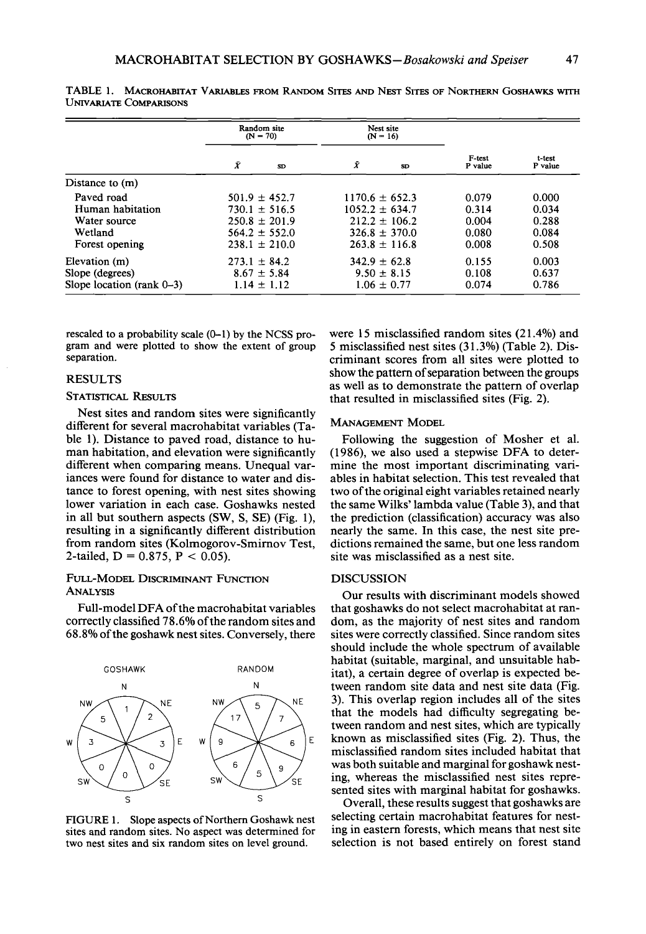|                             | Random site<br>$(N = 70)$ |    | Nest site<br>$(N = 16)$ |     |                   |                   |
|-----------------------------|---------------------------|----|-------------------------|-----|-------------------|-------------------|
|                             | Ÿ                         | SD | Ŷ                       | SD. | F-test<br>P value | t test<br>P value |
| Distance to $(m)$           |                           |    |                         |     |                   |                   |
| Paved road                  | $501.9 \pm 452.7$         |    | $1170.6 \pm 652.3$      |     | 0.079             | 0.000             |
| Human habitation            | $730.1 \pm 516.5$         |    | $1052.2 \pm 634.7$      |     | 0.314             | 0.034             |
| Water source                | $250.8 \pm 201.9$         |    | $212.2 \pm 106.2$       |     | 0.004             | 0.288             |
| Wetland                     | $564.2 \pm 552.0$         |    | $326.8 \pm 370.0$       |     | 0.080             | 0.084             |
| Forest opening              | $238.1 \pm 210.0$         |    | $263.8 \pm 116.8$       |     | 0.008             | 0.508             |
| Elevation (m)               | $273.1 \pm 84.2$          |    | $342.9 \pm 62.8$        |     | 0.155             | 0.003             |
| Slope (degrees)             | $8.67 \pm 5.84$           |    | $9.50 \pm 8.15$         |     | 0.108             | 0.637             |
| Slope location $(rank 0-3)$ | $1.14 \pm 1.12$           |    | $1.06 \pm 0.77$         |     | 0.074             | 0.786             |

**TABLE 1. MACROHABITAT VARIABLES PROM RANDOM SITES AND NIZST SITES OF NORTHERN GOSHAWKS WITH UNIvARIATE COMPARISONS** 

rescaled to a probability scale  $(0-1)$  by the NCSS pro**gram and were plotted to show the extent of group separation.** 

## **RESULTS**

## **STATISTICAL RESULTS**

**Nest sites and random sites were significantly different for several macrohabitat variables (Table 1). Distance to paved road, distance to human habitation, and elevation were significantly different when comparing means. Unequal variances were found for distance to water and distance to forest opening, with nest sites showing lower variation in each case. Goshawks nested in all but southern aspects (SW, S, SE) (Fig. l), resulting in a significantly different distribution from random sites (Kolmogorov-Smimov Test,**  2-tailed,  $D = 0.875$ ,  $P < 0.05$ ).

## **FULL-MODEL DISCRIMINANT FUNCTION ANALYSIS**

**Full-model DFA of the macrohabitat variables correctly classified 78.6% ofthe random sites and 68.8% of the goshawk nest sites. Conversely, there** 



**FIGURE 1. Slope aspects of Northern Goshawk nest sites and random sites. No aspect was determined for two nest sites and six random sites on level ground.** 

**were 15 misclassified random sites (2 1.4%) and 5 misclassified nest sites (3 1.3%) (Table 2). Discriminant scores from all sites were plotted to show the pattern of separation between the groups as well as to demonstrate the pattern of overlap that resulted in misclassified sites (Fig. 2).** 

#### **MANAGEMENT MODEL**

**Following the suggestion of Mosher et al. (1986), we also used a stepwise DFA to determine the most important discriminating variables in habitat selection. This test revealed that two of the original eight variables retained nearly the same Wilks' lambda value (Table 3), and that the prediction (classification) accuracy was also nearly the same. In this case, the nest site predictions remained the same, but one less random site was misclassified as a nest site.** 

## **DISCUSSION**

**Our results with discriminant models showed that goshawks do not select macrohabitat at random, as the majority of nest sites and random sites were correctly classified. Since random sites should include the whole spectrum of available habitat (suitable, marginal, and unsuitable habitat), a certain degree of overlap is expected between random site data and nest site data (Fig. 3). This overlap region includes all of the sites that the models had difficulty segregating between random and nest sites, which are typically known as misclassified sites (Fig. 2). Thus, the misclassified random sites included habitat that was both suitable and marginal for goshawk nesting, whereas the misclassified nest sites represented sites with marginal habitat for goshawks.** 

**Overall, these results suggest that goshawks are selecting certain macrohabitat features for nesting in eastern forests, which means that nest site selection is not based entirely on forest stand**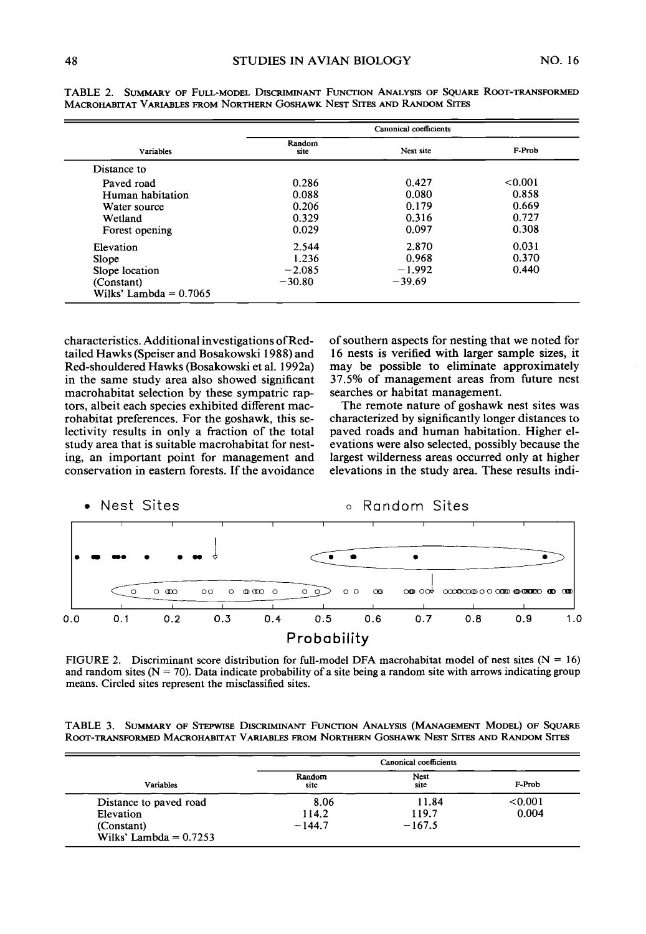|                          | Canonical coefficients |           |         |  |  |
|--------------------------|------------------------|-----------|---------|--|--|
| Variables                | Random<br>site         | Nest site | F-Prob  |  |  |
| Distance to              |                        |           |         |  |  |
| Paved road               | 0.286                  | 0.427     | < 0.001 |  |  |
| Human habitation         | 0.088                  | 0.080     | 0.858   |  |  |
| Water source             | 0.206                  | 0.179     | 0.669   |  |  |
| Wetland                  | 0.329                  | 0.316     | 0.727   |  |  |
| Forest opening           | 0.029                  | 0.097     | 0.308   |  |  |
| Elevation                | 2.544                  | 2.870     | 0.031   |  |  |
| Slope                    | 1.236                  | 0.968     | 0.370   |  |  |
| Slope location           | $-2.085$               | $-1.992$  | 0.440   |  |  |
| (Constant)               | $-30.80$               | $-39.69$  |         |  |  |
| Wilks' Lambda = $0.7065$ |                        |           |         |  |  |

**TABLE 2. SUMMARY OF FULL-MODEL DISCRIMINANT FUNCTION ANALYSIS OF SQUARE ROOT-TRANSFORMED MACROHABITAT VARIABLES FROM NORTHERN GOSHAWK NEST SITES AND RANDOM SITES** 

**characteristics. Additional investigations ofRedtailed Hawks (Speiser and Bosakowski 1988) and Red-shouldered Hawks (Bosakowski et al. 1992a) in the same study area also showed significant macrohabitat selection by these sympatric raptors, albeit each species exhibited different macrohabitat preferences. For the goshawk, this selectivity results in only a fraction of the total study area that is suitable macrohabitat for nesting, an important point for management and conservation in eastern forests. If the avoidance** 

**of southern aspects for nesting that we noted for 16 nests is verified with larger sample sizes, it may be possible to eliminate approximately 37.5% of management areas from future nest searches or habitat management.** 

**The remote nature of goshawk nest sites was characterized by significantly longer distances to paved roads and human habitation. Higher elevations were also selected, possibly because the largest wilderness areas occurred only at higher elevations in the study area. These results indi-**



FIGURE 2. Discriminant score distribution for full-model DFA macrohabitat model of nest sites  $(N = 16)$ and random sites  $(N = 70)$ . Data indicate probability of a site being a random site with arrows indicating group **means. Circled sites represent the misclassified sites.** 

|  |  |  | TABLE 3. SUMMARY OF STEPWISE DISCRIMINANT FUNCTION ANALYSIS (MANAGEMENT MODEL) OF SQUARE  |  |
|--|--|--|-------------------------------------------------------------------------------------------|--|
|  |  |  | Root-transformed Macrohabitat Variables from Northern Goshawk Nest Sites and Random Sites |  |

|                                        |                | Canonical coefficients |         |
|----------------------------------------|----------------|------------------------|---------|
| Variables                              | Random<br>site | <b>Nest</b><br>site    | F-Prob  |
| Distance to paved road                 | 8.06           | 11.84                  | < 0.001 |
| Elevation                              | 114.2          | 119.7                  | 0.004   |
| (Constant)<br>Wilks' Lambda = $0.7253$ | $-144.7$       | $-167.5$               |         |